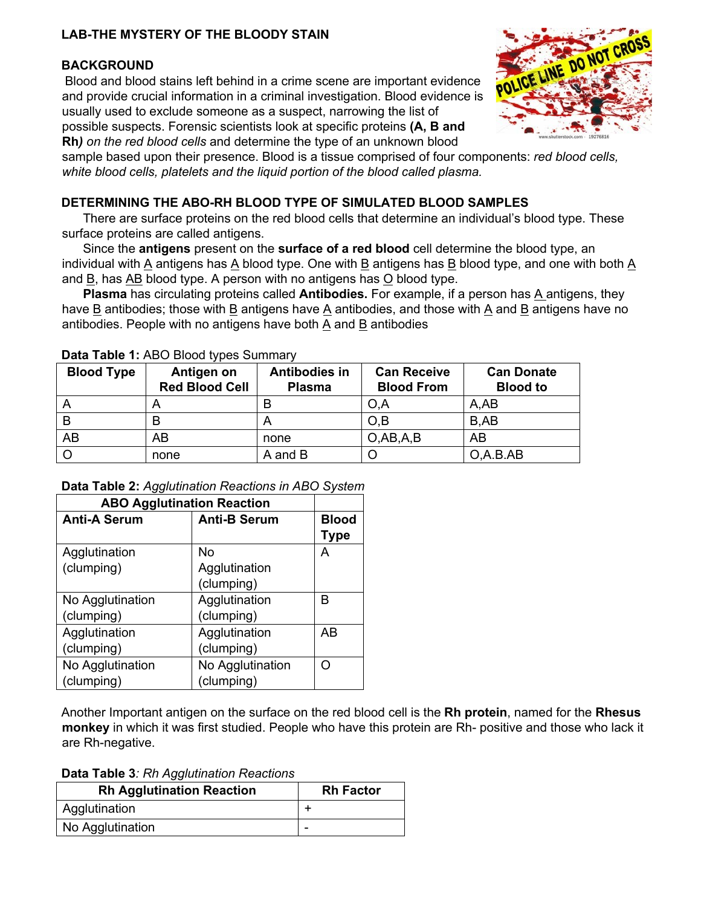# **LAB-THE MYSTERY OF THE BLOODY STAIN**

# **BACKGROUND**

Blood and blood stains left behind in a crime scene are important evidence and provide crucial information in a criminal investigation. Blood evidence is usually used to exclude someone as a suspect, narrowing the list of possible suspects. Forensic scientists look at specific proteins **(A, B and Rh***) on the red blood cells* and determine the type of an unknown blood



sample based upon their presence. Blood is a tissue comprised of four components: *red blood cells, white blood cells, platelets and the liquid portion of the blood called plasma.*

# **DETERMINING THE ABO-RH BLOOD TYPE OF SIMULATED BLOOD SAMPLES**

There are surface proteins on the red blood cells that determine an individual's blood type. These surface proteins are called antigens.

 Since the **antigens** present on the **surface of a red blood** cell determine the blood type, an individual with A antigens has A blood type. One with B antigens has B blood type, and one with both A and B, has AB blood type. A person with no antigens has O blood type.

**Plasma** has circulating proteins called **Antibodies.** For example, if a person has A antigens, they have B antibodies; those with B antigens have A antibodies, and those with A and B antigens have no antibodies. People with no antigens have both A and B antibodies

| <b>Blood Type</b> | Antigen on<br><b>Red Blood Cell</b> | <b>Antibodies in</b><br><b>Plasma</b> | <b>Can Receive</b><br><b>Blood From</b> | <b>Can Donate</b><br><b>Blood to</b> |
|-------------------|-------------------------------------|---------------------------------------|-----------------------------------------|--------------------------------------|
| $\mathsf{A}$      | n                                   |                                       | O,A                                     | A, AB                                |
| B                 |                                     |                                       | O.B                                     | B,AB                                 |
| AB                | AB                                  | none                                  | O,AB, A, B                              | AB                                   |
| $\circ$           | none                                | A and B                               |                                         | O, A.B. AB                           |

### **Data Table 1:** ABO Blood types Summary

| Data Table 2: Agglutination Reactions in ABO System |  |
|-----------------------------------------------------|--|
|-----------------------------------------------------|--|

| <b>ABO Agglutination Reaction</b> |                     |              |
|-----------------------------------|---------------------|--------------|
| <b>Anti-A Serum</b>               | <b>Anti-B Serum</b> | <b>Blood</b> |
|                                   |                     | <b>Type</b>  |
| Agglutination                     | No                  | А            |
| (clumping)                        | Agglutination       |              |
|                                   | (clumping)          |              |
| No Agglutination                  | Agglutination       | R            |
| (clumping)                        | (clumping)          |              |
| Agglutination                     | Agglutination       | AB           |
| (clumping)                        | (clumping)          |              |
| No Agglutination                  | No Agglutination    |              |
| (clumping)                        | (clumping)          |              |

Another Important antigen on the surface on the red blood cell is the **Rh protein**, named for the **Rhesus monkey** in which it was first studied. People who have this protein are Rh- positive and those who lack it are Rh-negative.

**Data Table 3***: Rh Agglutination Reactions* 

| <b>Rh Agglutination Reaction</b> | <b>Rh Factor</b> |  |  |
|----------------------------------|------------------|--|--|
| Agglutination                    |                  |  |  |
| No Agglutination                 | -                |  |  |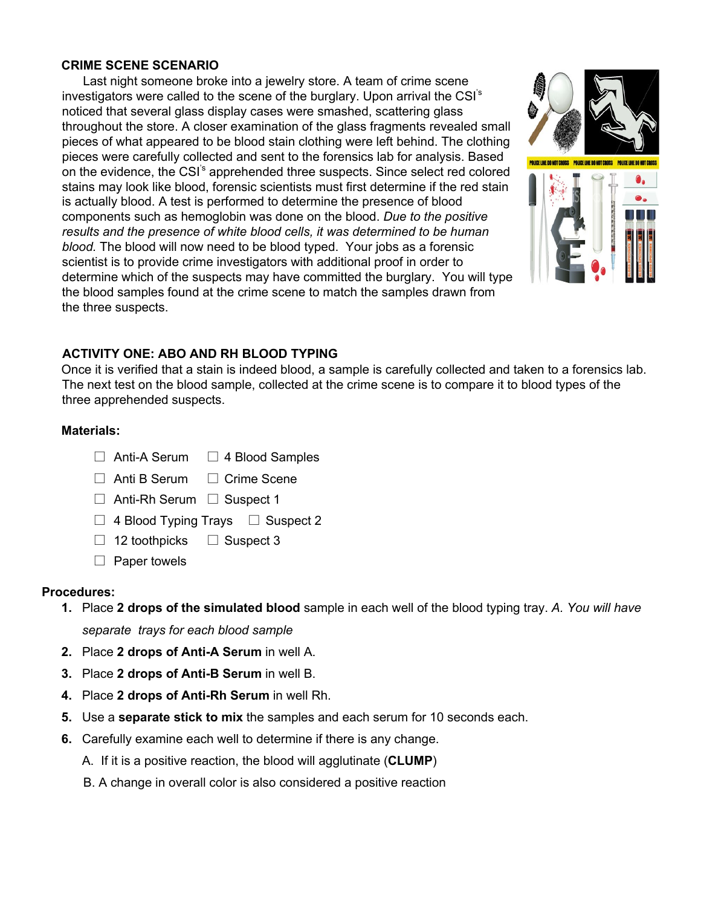### **CRIME SCENE SCENARIO**

Last night someone broke into a jewelry store. A team of crime scene investigators were called to the scene of the burglary. Upon arrival the CSI's noticed that several glass display cases were smashed, scattering glass throughout the store. A closer examination of the glass fragments revealed small pieces of what appeared to be blood stain clothing were left behind. The clothing pieces were carefully collected and sent to the forensics lab for analysis. Based on the evidence, the CSI's apprehended three suspects. Since select red colored stains may look like blood, forensic scientists must first determine if the red stain is actually blood. A test is performed to determine the presence of blood components such as hemoglobin was done on the blood. *Due to the positive results and the presence of white blood cells, it was determined to be human blood.* The blood will now need to be blood typed. Your jobs as a forensic scientist is to provide crime investigators with additional proof in order to determine which of the suspects may have committed the burglary. You will type the blood samples found at the crime scene to match the samples drawn from the three suspects.



## **ACTIVITY ONE: ABO AND RH BLOOD TYPING**

Once it is verified that a stain is indeed blood, a sample is carefully collected and taken to a forensics lab. The next test on the blood sample, collected at the crime scene is to compare it to blood types of the three apprehended suspects.

### **Materials:**

- $\Box$  Anti-A Serum  $\Box$  4 Blood Samples
- $\Box$  Anti B Serum  $\Box$  Crime Scene
- $\Box$  Anti-Rh Serum  $\Box$  Suspect 1
- $\Box$  4 Blood Typing Trays  $\Box$  Suspect 2
- $\Box$  12 toothpicks  $\Box$  Suspect 3
- $\Box$  Paper towels

### **Procedures:**

- **1.** Place **2 drops of the simulated blood** sample in each well of the blood typing tray. *A. You will have separate trays for each blood sample*
- **2.** Place **2 drops of Anti-A Serum** in well A.
- **3.** Place **2 drops of Anti-B Serum** in well B.
- **4.** Place **2 drops of Anti-Rh Serum** in well Rh.
- **5.** Use a **separate stick to mix** the samples and each serum for 10 seconds each.
- **6.** Carefully examine each well to determine if there is any change.
	- A. If it is a positive reaction, the blood will agglutinate (**CLUMP**)
	- B. A change in overall color is also considered a positive reaction